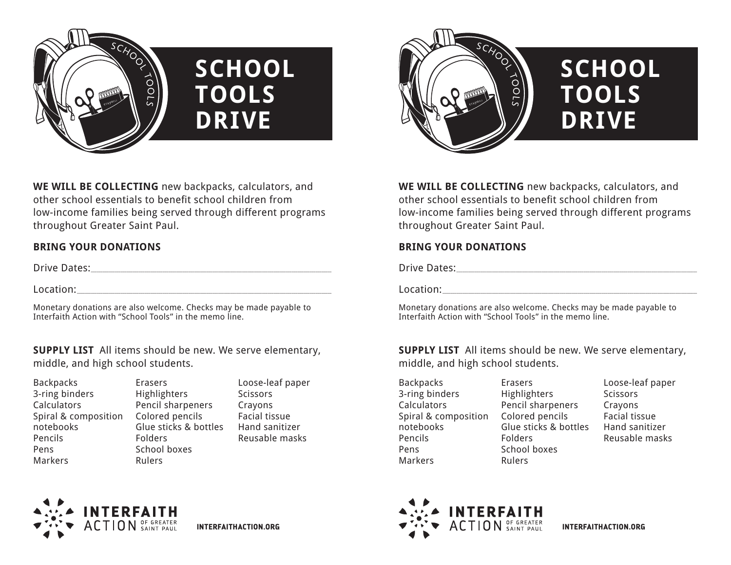

# **SCHOOL TOOLS DRIVE**

**WE WILL BE COLLECTING** new backpacks, calculators, and other school essentials to benefit school children from low-income families being served through different programs throughout Greater Saint Paul.

## **BRING YOUR DONATIONS**

Drive Dates:\_\_\_\_\_\_\_\_\_\_\_\_\_\_\_\_\_\_\_\_\_\_\_\_\_\_\_\_\_\_\_\_\_\_\_\_\_\_\_\_\_\_\_\_\_\_\_\_\_\_\_\_\_\_\_\_\_\_\_\_\_\_\_\_\_\_\_\_\_\_\_\_\_\_\_\_\_\_\_\_\_\_\_\_\_\_\_\_\_\_\_\_\_\_\_\_\_\_\_\_\_\_\_\_\_\_\_\_\_\_\_\_\_\_\_\_\_\_\_\_\_

 $\text{Location:}$ 

Monetary donations are also welcome. Checks may be made payable to Interfaith Action with "School Tools" in the memo line.

**SUPPLY LIST** All items should be new. We serve elementary, middle, and high school students.

| Erasers          |
|------------------|
| Highlighters     |
| Pencil sharpene  |
| Colored pencils  |
| Glue sticks & bo |
| Folders          |
| School boxes     |
| Rulers           |
|                  |

Erasers **Highlighters** Pencil sharpeners Glue sticks & bottles Folders School boxes Rulers

Loose-leaf paper **Scissors** Crayons Facial tissue Hand sanitizer Reusable masks



# **SCHOOL TOOLS DRIVE**

**WE WILL BE COLLECTING** new backpacks, calculators, and other school essentials to benefit school children from low-income families being served through different programs throughout Greater Saint Paul.

## **BRING YOUR DONATIONS**

Drive Dates:\_\_\_\_\_\_\_\_\_\_\_\_\_\_\_\_\_\_\_\_\_\_\_\_\_\_\_\_\_\_\_\_\_\_\_\_\_\_\_\_\_\_\_\_\_\_\_\_\_\_\_\_\_\_\_\_\_\_\_\_\_\_\_\_\_\_\_\_\_\_\_\_\_\_\_\_\_\_\_\_\_\_\_\_\_\_\_\_\_\_\_\_\_\_\_\_\_\_\_\_\_\_\_\_\_\_\_\_\_\_\_\_\_\_\_\_\_\_\_\_\_

 $\text{Location:}$ 

Monetary donations are also welcome. Checks may be made payable to Interfaith Action with "School Tools" in the memo line.

**SUPPLY LIST** All items should be new. We serve elementary, middle, and high school students.

**Backpacks** 3-ring binders Calculators Spiral & composition notebooks Pencils Pens Markers

Erasers **Highlighters** Pencil sharpeners Colored pencils Glue sticks & bottles Folders School boxes Rulers

Loose-leaf paper **Scissors** Crayons Facial tissue Hand sanitizer Reusable masks





**INTERFAITHACTION.ORG**